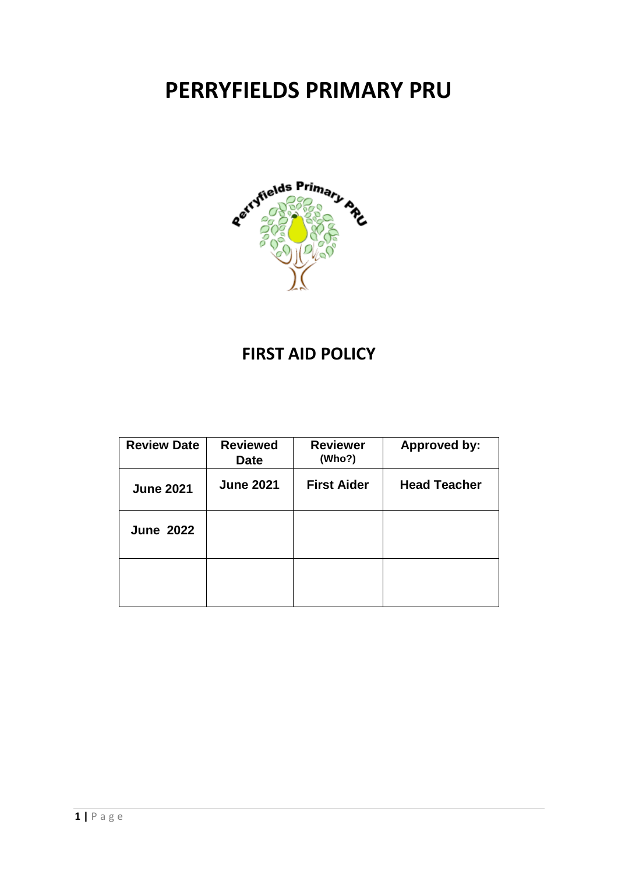# **PERRYFIELDS PRIMARY PRU**



# **FIRST AID POLICY**

| <b>Review Date</b> | <b>Reviewed</b><br><b>Date</b> | <b>Reviewer</b><br>(Who?) | <b>Approved by:</b> |
|--------------------|--------------------------------|---------------------------|---------------------|
| <b>June 2021</b>   | <b>June 2021</b>               | <b>First Aider</b>        | <b>Head Teacher</b> |
| <b>June 2022</b>   |                                |                           |                     |
|                    |                                |                           |                     |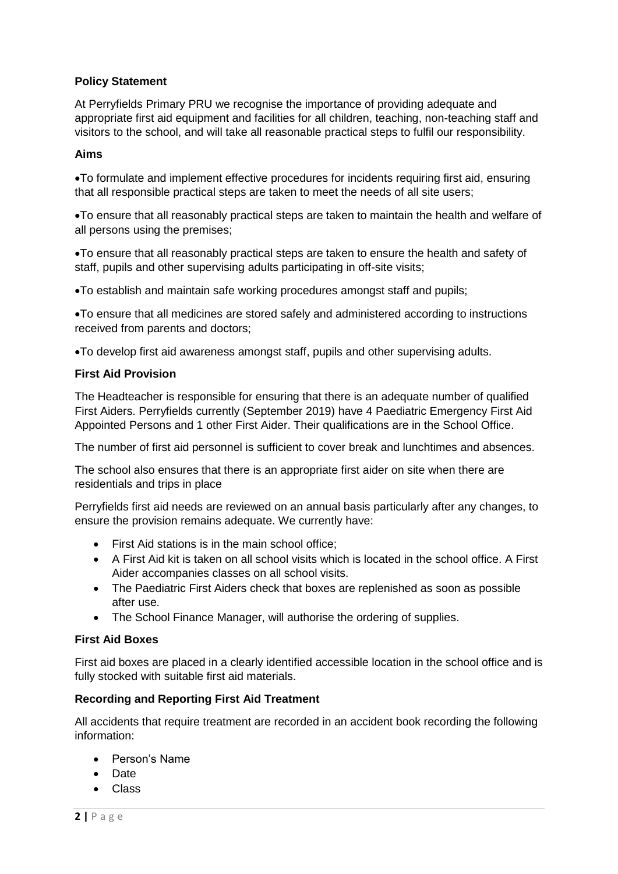# **Policy Statement**

At Perryfields Primary PRU we recognise the importance of providing adequate and appropriate first aid equipment and facilities for all children, teaching, non-teaching staff and visitors to the school, and will take all reasonable practical steps to fulfil our responsibility.

# **Aims**

To formulate and implement effective procedures for incidents requiring first aid, ensuring that all responsible practical steps are taken to meet the needs of all site users;

To ensure that all reasonably practical steps are taken to maintain the health and welfare of all persons using the premises;

To ensure that all reasonably practical steps are taken to ensure the health and safety of staff, pupils and other supervising adults participating in off-site visits;

To establish and maintain safe working procedures amongst staff and pupils;

To ensure that all medicines are stored safely and administered according to instructions received from parents and doctors;

To develop first aid awareness amongst staff, pupils and other supervising adults.

#### **First Aid Provision**

The Headteacher is responsible for ensuring that there is an adequate number of qualified First Aiders. Perryfields currently (September 2019) have 4 Paediatric Emergency First Aid Appointed Persons and 1 other First Aider. Their qualifications are in the School Office.

The number of first aid personnel is sufficient to cover break and lunchtimes and absences.

The school also ensures that there is an appropriate first aider on site when there are residentials and trips in place

Perryfields first aid needs are reviewed on an annual basis particularly after any changes, to ensure the provision remains adequate. We currently have:

- First Aid stations is in the main school office:
- A First Aid kit is taken on all school visits which is located in the school office. A First Aider accompanies classes on all school visits.
- The Paediatric First Aiders check that boxes are replenished as soon as possible after use.
- The School Finance Manager, will authorise the ordering of supplies.

# **First Aid Boxes**

First aid boxes are placed in a clearly identified accessible location in the school office and is fully stocked with suitable first aid materials.

# **Recording and Reporting First Aid Treatment**

All accidents that require treatment are recorded in an accident book recording the following information:

- Person's Name
- **•** Date
- Class